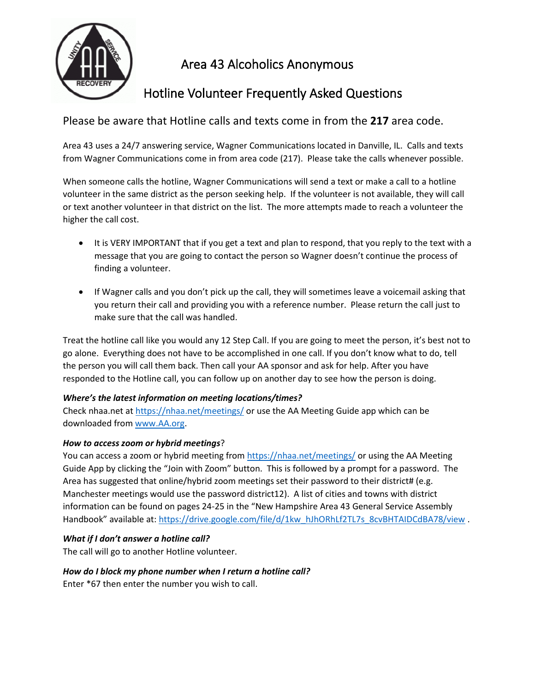

# Area 43 Alcoholics Anonymous

# Hotline Volunteer Frequently Asked Questions

Please be aware that Hotline calls and texts come in from the **217** area code.

Area 43 uses a 24/7 answering service, Wagner Communications located in Danville, IL. Calls and texts from Wagner Communications come in from area code (217). Please take the calls whenever possible.

When someone calls the hotline, Wagner Communications will send a text or make a call to a hotline volunteer in the same district as the person seeking help. If the volunteer is not available, they will call or text another volunteer in that district on the list. The more attempts made to reach a volunteer the higher the call cost.

- It is VERY IMPORTANT that if you get a text and plan to respond, that you reply to the text with a message that you are going to contact the person so Wagner doesn't continue the process of finding a volunteer.
- If Wagner calls and you don't pick up the call, they will sometimes leave a voicemail asking that you return their call and providing you with a reference number. Please return the call just to make sure that the call was handled.

Treat the hotline call like you would any 12 Step Call. If you are going to meet the person, it's best not to go alone. Everything does not have to be accomplished in one call. If you don't know what to do, tell the person you will call them back. Then call your AA sponsor and ask for help. After you have responded to the Hotline call, you can follow up on another day to see how the person is doing.

# *Where's the latest information on meeting locations/times?*

Check nhaa.net at<https://nhaa.net/meetings/> or use the AA Meeting Guide app which can be downloaded from [www.AA.org.](http://www.aa.org/)

# *How to access zoom or hybrid meetings*?

You can access a zoom or hybrid meeting fro[m https://nhaa.net/meetings/](https://nhaa.net/meetings/) or using the AA Meeting Guide App by clicking the "Join with Zoom" button. This is followed by a prompt for a password. The Area has suggested that online/hybrid zoom meetings set their password to their district# (e.g. Manchester meetings would use the password district12). A list of cities and towns with district information can be found on pages 24-25 in the "New Hampshire Area 43 General Service Assembly Handbook" available at: [https://drive.google.com/file/d/1kw\\_hJhORhLf2TL7s\\_8cvBHTAIDCdBA78/view](https://drive.google.com/file/d/1kw_hJhORhLf2TL7s_8cvBHTAIDCdBA78/view) .

# *What if I don't answer a hotline call?*

The call will go to another Hotline volunteer.

# *How do I block my phone number when I return a hotline call?*

Enter \*67 then enter the number you wish to call.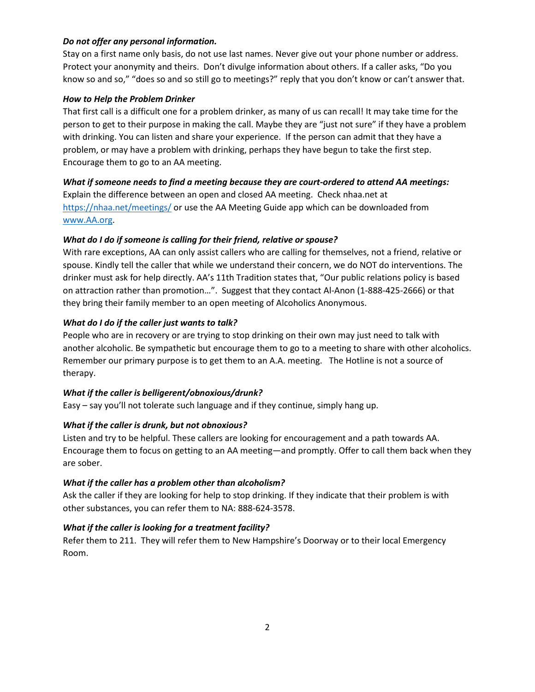## *Do not offer any personal information.*

Stay on a first name only basis, do not use last names. Never give out your phone number or address. Protect your anonymity and theirs. Don't divulge information about others. If a caller asks, "Do you know so and so," "does so and so still go to meetings?" reply that you don't know or can't answer that.

### *How to Help the Problem Drinker*

That first call is a difficult one for a problem drinker, as many of us can recall! It may take time for the person to get to their purpose in making the call. Maybe they are "just not sure" if they have a problem with drinking. You can listen and share your experience. If the person can admit that they have a problem, or may have a problem with drinking, perhaps they have begun to take the first step. Encourage them to go to an AA meeting.

## *What if someone needs to find a meeting because they are court-ordered to attend AA meetings:*

Explain the difference between an open and closed AA meeting. Check nhaa.net at <https://nhaa.net/meetings/> or use the AA Meeting Guide app which can be downloaded from [www.AA.org.](http://www.aa.org/)

## *What do I do if someone is calling for their friend, relative or spouse?*

With rare exceptions, AA can only assist callers who are calling for themselves, not a friend, relative or spouse. Kindly tell the caller that while we understand their concern, we do NOT do interventions. The drinker must ask for help directly. AA's 11th Tradition states that, "Our public relations policy is based on attraction rather than promotion…". Suggest that they contact Al-Anon (1-888-425-2666) or that they bring their family member to an open meeting of Alcoholics Anonymous.

## *What do I do if the caller just wants to talk?*

People who are in recovery or are trying to stop drinking on their own may just need to talk with another alcoholic. Be sympathetic but encourage them to go to a meeting to share with other alcoholics. Remember our primary purpose is to get them to an A.A. meeting. The Hotline is not a source of therapy.

### *What if the caller is belligerent/obnoxious/drunk?*

Easy – say you'll not tolerate such language and if they continue, simply hang up.

### *What if the caller is drunk, but not obnoxious?*

Listen and try to be helpful. These callers are looking for encouragement and a path towards AA. Encourage them to focus on getting to an AA meeting—and promptly. Offer to call them back when they are sober.

### *What if the caller has a problem other than alcoholism?*

Ask the caller if they are looking for help to stop drinking. If they indicate that their problem is with other substances, you can refer them to NA: 888-624-3578.

### *What if the caller is looking for a treatment facility?*

Refer them to 211. They will refer them to New Hampshire's Doorway or to their local Emergency Room.